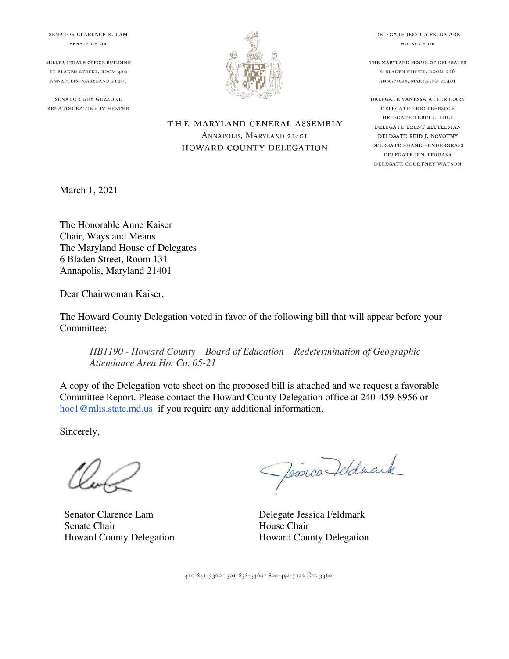SENATOR CLARENCE K. LAM SENATE CHAIR

MILLER SENATE OFFICE BUILDING II BLADEN STREET, ROOM 420 ANNAPOLIS, MARYLAND 21401

SENATOR GUY GUZZONE SENATOR KATIE FRY HESTER



THE MARYLAND GENERAL ASSEMBLY

ANNAPOLIS, MARYLAND 21401

HOWARD COUNTY DELEGATION

DELEGATE JESSICA FELDMARK HOUSE CHAIR

THE MARYLAND HOUSE OF DELEGATES 6 BLADEN STREET, ROOM 216 ANNAPOLIS, MARYLAND 21401

DELEGATE VANESSA ATTERBEARY DELEGATE ERIC EBERSOLE DELEGATE TERRI L. HILL DELEGATE TRENT KITTLEMAN DELEGATE REID J. NOVOTNY DELEGATE SHANE PENDERGRASS DELEGATE JEN TERRASA DELEGATE COURTNEY WATSON

March 1, 2021

The Honorable Anne Kaiser Chair, Ways and Means The Maryland House of Delegates 6 Bladen Street, Room 131 Annapolis, Maryland 21401

Dear Chairwoman Kaiser,

The Howard County Delegation voted in favor of the following bill that will appear before your Committee:

*HB1190 - Howard County – Board of Education – Redetermination of Geographic Attendance Area Ho. Co. 05-21*

A copy of the Delegation vote sheet on the proposed bill is attached and we request a favorable Committee Report. Please contact the Howard County Delegation office at 240-459-8956 or hoc1@mlis.state.md.us if you require any additional information.

Sincerely,

Senator Clarence Lam Senate Chair Howard County Delegation

Jessica Deldmark

Delegate Jessica Feldmark House Chair Howard County Delegation

410-841-3360 · 301-858-3360 · 800-492-7122 Ext. 3360